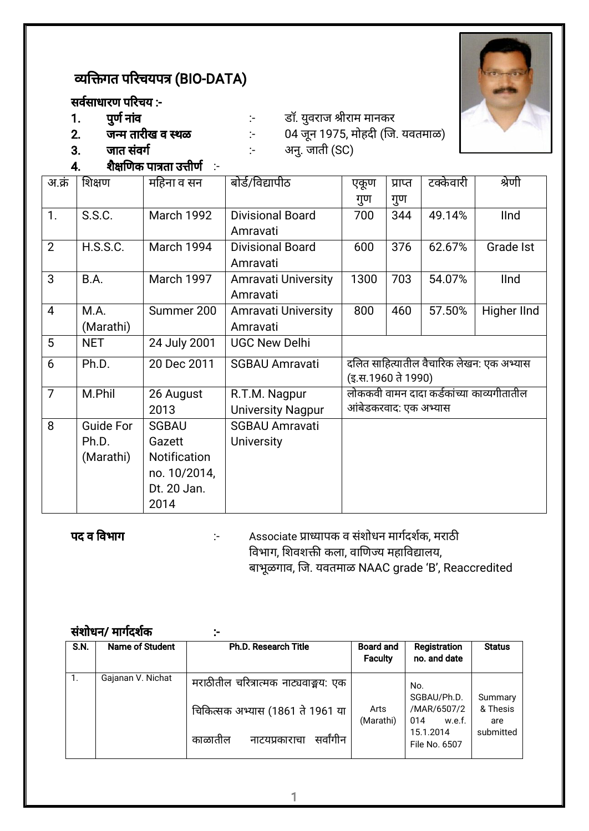# व्यक्तिगत परिचयपत्र (BIO-DATA)

# सर्वसाधारण परिचय :-<br>1. पुर्ण नांव



- 
- 1. पणु नावं :- डॉ. यवुराज ीराम मानकर 2. जम तारीख व थळ :- 04 जनू 1975, मोहद (ज. यवतमाळ)
- $3.$  जात संवर्ग  $\cdot$  अनु. जाती (SC)
- $4.$  शैक्षणिक पात्रता उत्तीर्ण  $\,$ :-

| अ.क्रं         | शिक्षण           | महिना व सन        | बोर्ड/विद्यापीठ            | एकूण                  | प्राप्त | टक्केवारी | श्रेणी                                    |
|----------------|------------------|-------------------|----------------------------|-----------------------|---------|-----------|-------------------------------------------|
|                |                  |                   |                            | गुण                   | गुण     |           |                                           |
| 1.             | S.S.C.           | <b>March 1992</b> | <b>Divisional Board</b>    | 700                   | 344     | 49.14%    | <b>IInd</b>                               |
|                |                  |                   | Amravati                   |                       |         |           |                                           |
| $\overline{2}$ | <b>H.S.S.C.</b>  | March 1994        | <b>Divisional Board</b>    | 600                   | 376     | 62.67%    | Grade Ist                                 |
|                |                  |                   | Amravati                   |                       |         |           |                                           |
| 3              | B.A.             | <b>March 1997</b> | <b>Amravati University</b> | 1300                  | 703     | 54.07%    | <b>IInd</b>                               |
|                |                  |                   | Amravati                   |                       |         |           |                                           |
| $\overline{4}$ | M.A.             | Summer 200        | <b>Amravati University</b> | 800                   | 460     | 57.50%    | Higher IInd                               |
|                | (Marathi)        |                   | Amravati                   |                       |         |           |                                           |
| 5              | <b>NET</b>       | 24 July 2001      | <b>UGC New Delhi</b>       |                       |         |           |                                           |
| 6              | Ph.D.            | 20 Dec 2011       | <b>SGBAU Amravati</b>      |                       |         |           | दलित साहित्यातील वैचारिक लेखन: एक अभ्यास  |
|                |                  |                   |                            | (इ.स.1960 ते 1990)    |         |           |                                           |
| $\overline{7}$ | M.Phil           | 26 August         | R.T.M. Nagpur              |                       |         |           | लोककवी वामन दादा कर्डकांच्या काव्यगीतातील |
|                |                  | 2013              | <b>University Nagpur</b>   | आंबेडकरवाद: एक अभ्यास |         |           |                                           |
| 8              | <b>Guide For</b> | <b>SGBAU</b>      | <b>SGBAU Amravati</b>      |                       |         |           |                                           |
|                | Ph.D.            | Gazett            | <b>University</b>          |                       |         |           |                                           |
|                | (Marathi)        | Notification      |                            |                       |         |           |                                           |
|                |                  | no. 10/2014,      |                            |                       |         |           |                                           |
|                |                  | Dt. 20 Jan.       |                            |                       |         |           |                                           |
|                |                  | 2014              |                            |                       |         |           |                                           |

पद व वभाग :- Associate ायापक व संशोधन मागद शक, मराठ विभाग, शिवशक्ती कला, वाणिज्य महाविद्यालय, बाभूळगाव, जि. यवतमाळ NAAC grade 'B', Reaccredited

|      | संशोधन/ मार्गदर्शक | $\cdot$ .                                                                                                         |                                    |                                                                                  |                                         |
|------|--------------------|-------------------------------------------------------------------------------------------------------------------|------------------------------------|----------------------------------------------------------------------------------|-----------------------------------------|
| S.N. | Name of Student    | <b>Ph.D. Research Title</b>                                                                                       | <b>Board and</b><br><b>Faculty</b> | Registration<br>no. and date                                                     | <b>Status</b>                           |
| 1.   | Gajanan V. Nichat  | मराठीतील चरित्रात्मक नाट्यवाङ्मय: एक<br>चिकित्सक अभ्यास (1861 ते 1961 या<br>सर्वांगीन<br>काळातील<br>नाटयप्रकाराचा | Arts<br>(Marathi)                  | No.<br>SGBAU/Ph.D.<br>/MAR/6507/2<br>014<br>w.e.f.<br>15.1.2014<br>File No. 6507 | Summary<br>& Thesis<br>are<br>submitted |

1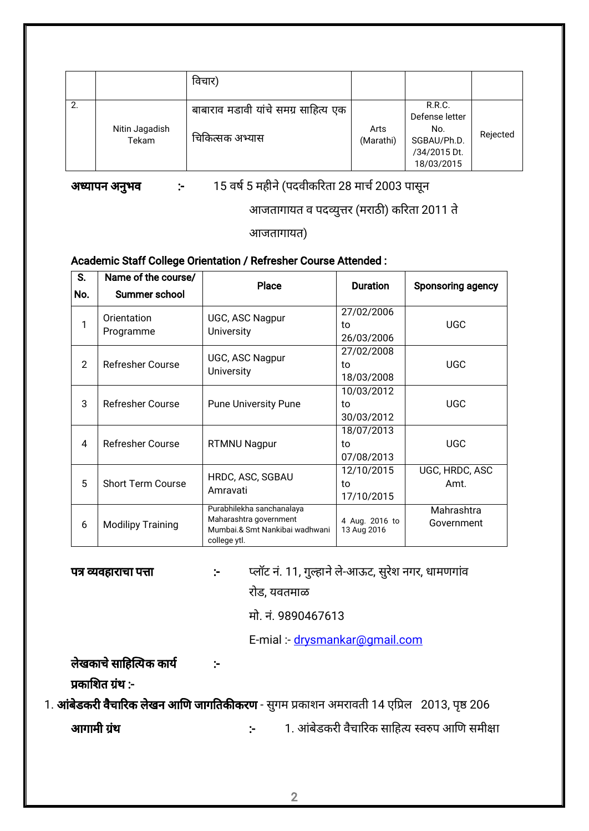|    |                         | विचार)                                                  |                   |                                                                                     |          |
|----|-------------------------|---------------------------------------------------------|-------------------|-------------------------------------------------------------------------------------|----------|
| 2. | Nitin Jagadish<br>Tekam | बाबाराव मडावी यांचे समग्र साहित्य एक<br>चिकित्सक अभ्यास | Arts<br>(Marathi) | <b>R.R.C.</b><br>Defense letter<br>No.<br>SGBAU/Ph.D.<br>/34/2015 Dt.<br>18/03/2015 | Rejected |

अध्यापन अनुभव :- 15 वर्ष 5 महीने (पदवीकरिता 28 मार्च 2003 पासून

आजतागायत व पदव्युत्तर (मराठी) करिता 2011 ते

आजतागायत)

#### Academic Staff College Orientation / Refresher Course Attended :

| S.             | Name of the course/      | <b>Place</b>                                             | <b>Duration</b>               | Sponsoring agency |
|----------------|--------------------------|----------------------------------------------------------|-------------------------------|-------------------|
| No.            | Summer school            |                                                          |                               |                   |
|                | Orientation<br>Programme | UGC, ASC Nagpur                                          | 27/02/2006                    |                   |
| 1              |                          | <b>University</b>                                        | to                            | <b>UGC</b>        |
|                |                          |                                                          | 26/03/2006                    |                   |
|                |                          | UGC, ASC Nagpur                                          | 27/02/2008                    |                   |
| $\overline{2}$ | Refresher Course         | <b>University</b>                                        | to                            | <b>UGC</b>        |
|                |                          |                                                          | 18/03/2008                    |                   |
|                |                          | <b>Pune University Pune</b>                              | 10/03/2012                    |                   |
| 3              | <b>Refresher Course</b>  |                                                          | to                            | <b>UGC</b>        |
|                |                          |                                                          | 30/03/2012                    |                   |
|                |                          |                                                          | 18/07/2013                    |                   |
| 4              | Refresher Course         | <b>RTMNU Nagpur</b>                                      | to                            | <b>UGC</b>        |
|                |                          |                                                          | 07/08/2013                    |                   |
| 5              |                          | HRDC, ASC, SGBAU                                         | 12/10/2015                    | UGC, HRDC, ASC    |
|                | <b>Short Term Course</b> | Amravati                                                 | to                            | Amt.              |
|                |                          |                                                          | 17/10/2015                    |                   |
| 6              |                          | Purabhilekha sanchanalaya                                |                               | Mahrashtra        |
|                | <b>Modilipy Training</b> | Maharashtra government<br>Mumbai.& Smt Nankibai wadhwani | 4 Aug. 2016 to<br>13 Aug 2016 | Government        |
|                |                          | college ytl.                                             |                               |                   |

प वहाराचा पा :- लॉट न.ं 11, गुहानेले-आऊट, सुरशे नगर, धामणगावं रोड, यवतमाळ

मो. न.ं 9890467613

E-mial :- drysmankar@gmail.com

लेखकाचे साहित्यिक कार्य काउं

प्रकाशित ग्रंथ :-

1. **आंबेडकरी वैचारिक लेखन आणि जागतिकीकरण** - सुगम प्रकाशन अमरावती 14 एप्रिल 2013, पृष्ठ 206 आगामी थं :- 1. आंबडे करी वचै ारक साहय वप आण समीा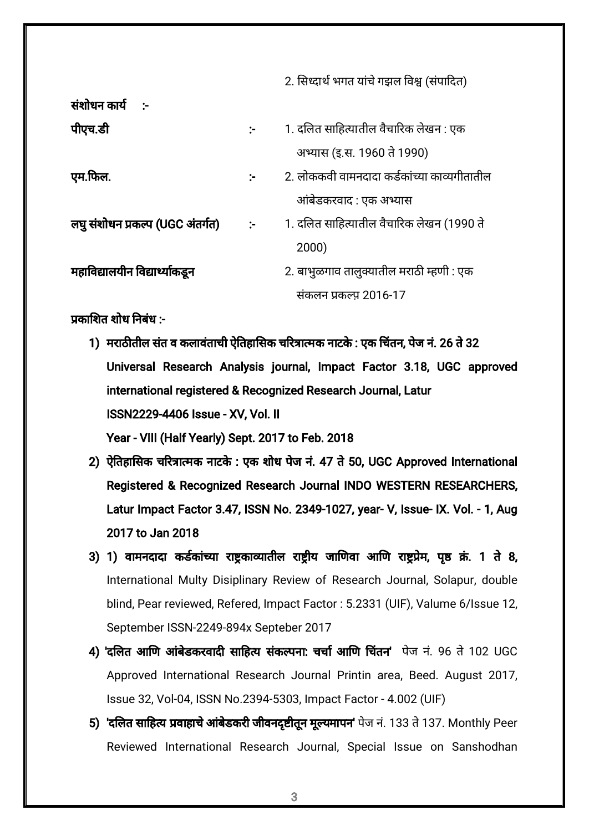2. सिध्दार्थ भगत यांचे गझल विश्व (संपादित)

| संशोधन कार्य                     |                      |                                             |
|----------------------------------|----------------------|---------------------------------------------|
| पीएच.डी                          | $\mathcal{L}$        | 1. दलित साहित्यातील वैचारिक लेखन : एक       |
|                                  |                      | अभ्यास (इ.स. 1960 ते 1990)                  |
| एम.फिल.                          | ÷.                   | 2. लोककवी वामनदादा कर्डकांच्या काव्यगीतातील |
|                                  |                      | आंबेडकरवाद : एक अभ्यास                      |
| लघु संशोधन प्रकल्प (UGC अंतर्गत) | $\ddot{\phantom{a}}$ | 1. दलित साहित्यातील वैचारिक लेखन (1990 ते   |
|                                  |                      | 2000)                                       |
| महाविद्यालयीन विद्यार्थ्याकडून   |                      | 2. बाभुळगाव तालुक्यातील मराठी म्हणी : एक    |
|                                  |                      | संकलन प्रकल्प 2016-17                       |

काशत शोध नबधं :-

- 1) मराठीतील संत व कलावंताची ऐतिहासिक चरित्रात्मक नाटके : एक चिंतन, पेज नं. 26 ते 32 Universal Research Analysis journal, Impact Factor 3.18, UGC approved international registered & Recognized Research Journal, Latur ISSN2229-4406 Issue - XV, Vol. II Year - VIII (Half Yearly) Sept. 2017 to Feb. 2018
- 2) ऐतिहासिक चरित्रात्मक नाटके : एक शोध पेज नं. 47 ते 50, UGC Approved International Registered & Recognized Research Journal INDO WESTERN RESEARCHERS, Latur Impact Factor 3.47, ISSN No. 2349-1027, year- V, Issue- IX. Vol. - 1, Aug 2017 to Jan 2018
- 3) 1) वामनदादा कर्डकांच्या राष्ट्रकाव्यातील राष्ट्रीय जाणिवा आणि राष्ट्रप्रेम, पृष्ठ क्रं. 1 ते 8, International Multy Disiplinary Review of Research Journal, Solapur, double blind, Pear reviewed, Refered, Impact Factor : 5.2331 (UIF), Valume 6/Issue 12, September ISSN-2249-894x Septeber 2017
- 4) 'दलित आणि आंबेडकरवादी साहित्य संकल्पना: चर्चा आणि चिंतन' पेज नं. 96 ते 102 UGC Approved International Research Journal Printin area, Beed. August 2017, Issue 32, Vol-04, ISSN No.2394-5303, Impact Factor - 4.002 (UIF)
- 5) 'दलित साहित्य प्रवाहाचे आंबेडकरी जीवनदृष्टीतून मूल्यमापन' पेज नं. 133 ते 137. Monthly Peer Reviewed International Research Journal, Special Issue on Sanshodhan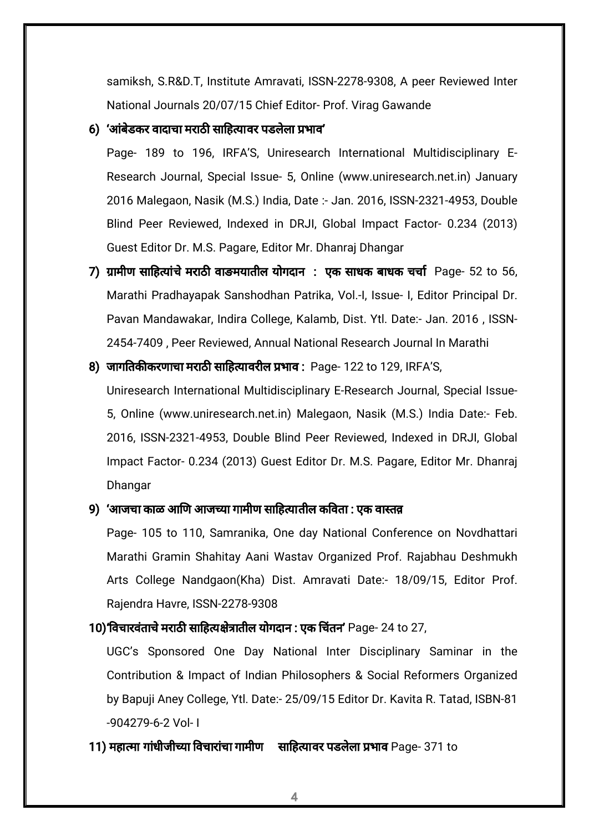samiksh, S.R&D.T, Institute Amravati, ISSN-2278-9308, A peer Reviewed Inter National Journals 20/07/15 Chief Editor- Prof. Virag Gawande

#### 6) 'आंबेडकर वादाचा मराठी साहित्यावर पडलेला प्रभाव'

Page- 189 to 196, IRFA'S, Uniresearch International Multidisciplinary E-Research Journal, Special Issue- 5, Online (www.uniresearch.net.in) January 2016 Malegaon, Nasik (M.S.) India, Date :- Jan. 2016, ISSN-2321-4953, Double Blind Peer Reviewed, Indexed in DRJI, Global Impact Factor- 0.234 (2013) Guest Editor Dr. M.S. Pagare, Editor Mr. Dhanraj Dhangar

- 7) ग्रामीण साहित्यांचे मराठी वाङमयातील योगदान : एक साधक बाधक चर्चा Page- 52 to 56, Marathi Pradhayapak Sanshodhan Patrika, Vol.-I, Issue- I, Editor Principal Dr. Pavan Mandawakar, Indira College, Kalamb, Dist. Ytl. Date:- Jan. 2016 , ISSN-2454-7409 , Peer Reviewed, Annual National Research Journal In Marathi
- 8) जागतिकीकरणाचा मराठी साहित्यावरील प्रभाव : Page- 122 to 129, IRFA'S,

Uniresearch International Multidisciplinary E-Research Journal, Special Issue-5, Online (www.uniresearch.net.in) Malegaon, Nasik (M.S.) India Date:- Feb. 2016, ISSN-2321-4953, Double Blind Peer Reviewed, Indexed in DRJI, Global Impact Factor- 0.234 (2013) Guest Editor Dr. M.S. Pagare, Editor Mr. Dhanraj Dhangar

### 9) 'आजचा काळ आणि आजच्या गामीण साहित्यातील कविता : एक वास्तव

Page- 105 to 110, Samranika, One day National Conference on Novdhattari Marathi Gramin Shahitay Aani Wastav Organized Prof. Rajabhau Deshmukh Arts College Nandgaon(Kha) Dist. Amravati Date:- 18/09/15, Editor Prof. Rajendra Havre, ISSN-2278-9308

### 10)'विचारवंताचे मराठी साहित्यक्षेत्रातील योगदान : एक चिंतन' Page- 24 to 27,

UGC's Sponsored One Day National Inter Disciplinary Saminar in the Contribution & Impact of Indian Philosophers & Social Reformers Organized by Bapuji Aney College, Ytl. Date:- 25/09/15 Editor Dr. Kavita R. Tatad, ISBN-81 -904279-6-2 Vol- I

11) महात्मा गांधीजीच्या विचारांचा गामीण साहित्यावर पडलेला प्रभाव Page- 371 to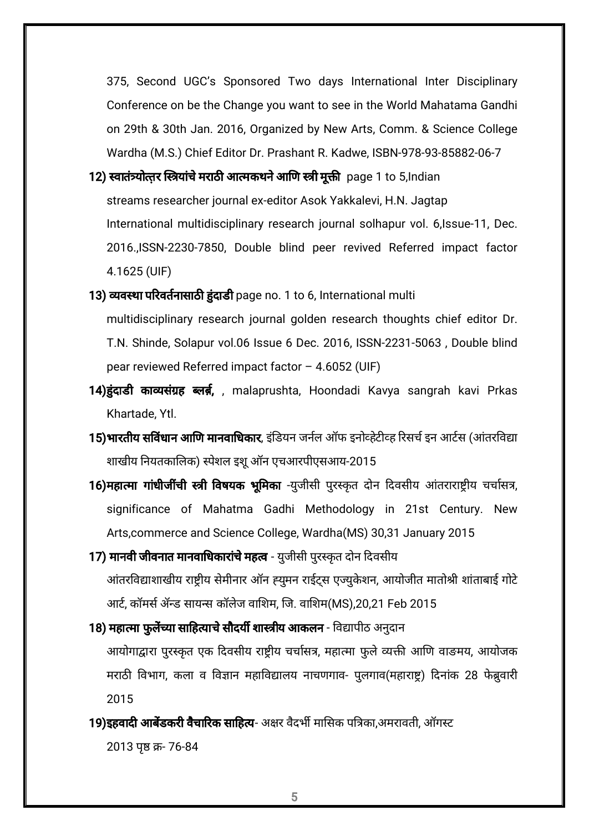375, Second UGC's Sponsored Two days International Inter Disciplinary Conference on be the Change you want to see in the World Mahatama Gandhi on 29th & 30th Jan. 2016, Organized by New Arts, Comm. & Science College Wardha (M.S.) Chief Editor Dr. Prashant R. Kadwe, ISBN-978-93-85882-06-7

- 12) स्वातंत्र्योत्तर स्त्रियांचे मराठी आत्मकथने आणि स्त्री मूक्ती page 1 to 5,Indian streams researcher journal ex-editor Asok Yakkalevi, H.N. Jagtap International multidisciplinary research journal solhapur vol. 6,Issue-11, Dec. 2016.,ISSN-2230-7850, Double blind peer revived Referred impact factor 4.1625 (UIF)
- 13) व्यवस्था परिवर्तनासाठी हुंदाडी page no. 1 to 6, International multi multidisciplinary research journal golden research thoughts chief editor Dr. T.N. Shinde, Solapur vol.06 Issue 6 Dec. 2016, ISSN-2231-5063 , Double blind pear reviewed Referred impact factor – 4.6052 (UIF)
- 14) हुंदाडी काव्यसंग्रह ब्लर्ब,, malaprushta, Hoondadi Kavya sangrah kavi Prkas Khartade, Ytl.
- **15)भारतीय सविंधान आणि मानवाधिकार**, इंडियन जर्नल ऑफ इनोव्हेटीव्ह रिसर्च इन आर्टस (आंतरविद्या शाखीय नियतकालिक) स्पेशल इशू ऑन एचआरपीएसआय-2015
- 16)महात्मा गांधीजींची स्त्री विषयक भूमिका -युजीसी पुरस्कृत दोन दिवसीय आंतराराष्ट्रीय चर्चासत्र, significance of Mahatma Gadhi Methodology in 21st Century. New Arts,commerce and Science College, Wardha(MS) 30,31 January 2015
- 17) **मानवी जीवनात मानवाधिकारांचे महत्व** युजीसी पुरस्कृत दोन दिवसीय आंतरविद्याशाखीय राष्ट्रीय सेमीनार ऑन ह्युमन राईट्स एज्युकेशन, आयोजीत मातोश्री शांताबाई गोटे आर्ट, कॉमर्स ॲन्ड सायन्स कॉलेज वाशिम, जि. वाशिम(MS),20,21 Feb 2015
- 18) **महात्मा फुलेंच्या साहित्याचे सौदर्यी शास्त्रीय आकलन** विद्यापीठ अनुदान आयोगाद्वारा पुरस्कृत एक दिवसीय राष्ट्रीय चर्चासत्र, महात्मा फुले व्यक्ती आणि वाङमय, आयोजक मराठी विभाग, कला व विज्ञान महाविद्यालय नाचणगाव- पुलगाव(महाराष्ट्र) दिनांक 28 फेब्रुवारी 2015
- 19)इहवादी आबेंडकरी वैचारिक साहित्य- अक्षर वैदर्भी मासिक पत्रिका,अमरावती, ऑगस्ट

2013 पृष्ठ क्र- 76-84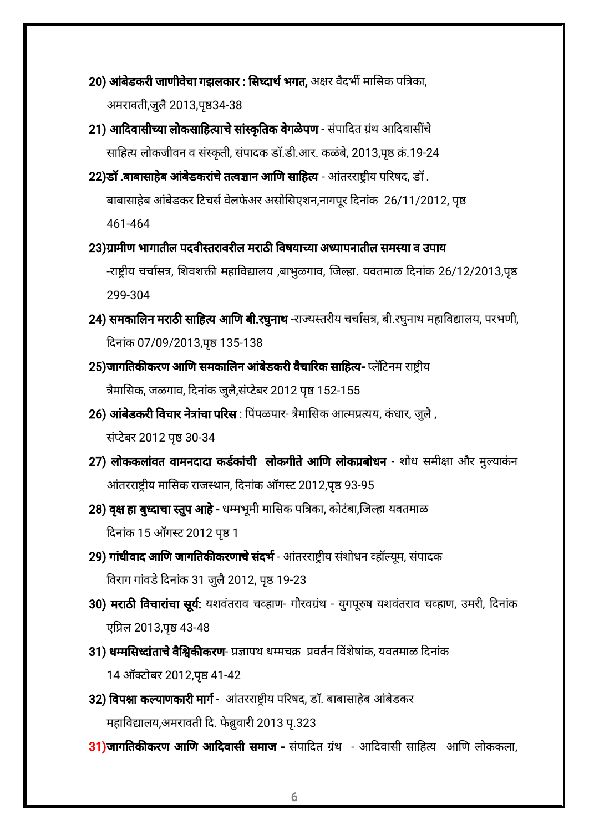- 20) **आंबेडकरी जाणीवेचा गझलकार : सिघ्दार्थ भगत,** अक्षर वैदर्भी मासिक पत्रिका, अमरावती,जुलै 2013,पृष्ठ34-38
- 21) आदिवासीच्या लोकसाहित्याचे सांस्कृतिक वेगळेपण संपादित ग्रंथ आदिवासींचे साहित्य लोकजीवन व संस्कृती, संपादक डॉ.डी.आर. कळंबे, 2013,पृष्ठ क्रं.19-24
- 22)डॉ .बाबासाहेब आंबेडकरांचे तत्वज्ञान आणि साहित्य आंतरराष्ट्रीय परिषद, डॉ. बाबासाहेब आंबेडकर टिचर्स वेलफेअर असोसिएशन,नागपूर दिनांक 26/11/2012, पृष्ठ 461-464
- 23)ग्रामीण भागातील पदवीस्तरावरील मराठी विषयाच्या अध्यापनातील समस्या व उपाय -राष्ट्रीय चर्चासत्र, शिवशक्ती महाविद्यालय ,बाभुळगाव, जिल्हा. यवतमाळ दिनांक 26/12/2013,पृष्ठ 299-304
- 24) समकालिन मराठी साहित्य आणि बी.रघुनाथ -राज्यस्तरीय चर्चासत्र, बी.रघुनाथ महाविद्यालय, परभणी, दिनांक 07/09/2013,पृष्ठ 135-138
- **25)जागतिकीकरण आणि समकालिन आंबेडकरी वैचारिक साहित्य-** प्लॅटिनम राष्ट्रीय त्रैमासिक, जळगाव, दिनांक जुलै,संप्टेबर 2012 पृष्ठ 152-155
- 26) **आंबेडकरी विचार नेत्रांचा परिस** : पिंपळपार- त्रैमासिक आत्मप्रत्यय, कंधार, जुलै , संप्टेबर 2012 पृष्ठ 30-34
- 27) लोककलांवत वामनदादा कर्डकांची लोकगीते आणि लोकप्रबोधन शोध समीक्षा और मुल्याकंन आंतरराष्ट्रीय मासिक राजस्थान, दिनांक ऑगस्ट 2012,पृष्ठ 93-95
- 28) वृक्ष हा बुध्दाचा स्तुप आहे धम्मभूमी मासिक पत्रिका, कोटंबा,जिल्हा यवतमाळ दिनांक 15 ऑगस्ट 2012 पृष्ठ 1
- 29) गांधीवाद आणि जागतिकीकरणाचे संदर्भ आंतरराष्ट्रीय संशोधन व्हॉल्यूम, संपादक विराग गांवडे दिनांक 31 जुलै 2012, पृष्ठ 19-23
- 30) मराठी विचारांचा सूर्य: यशवंतराव चव्हाण- गौरवग्रंथ युगपूरुष यशवंतराव चव्हाण, उमरी, दिनांक एप्रिल 2013,पृष्ठ 43-48
- 31) धम्मसिध्दांताचे वैश्विकीकरण- प्रज्ञापथ धम्मचक्र प्रवर्तन विंशेषांक, यवतमाळ दिनांक 14 ऑक्टोबर 2012,पृष्ठ 41-42
- 32) विपश्ना कल्याणकारी मार्ग आंतरराष्ट्रीय परिषद, डॉ. बाबासाहेब आंबेडकर महाविद्यालय,अमरावती दि. फेब्रुवारी 2013 पृ.323
- 31)जागतिकीकरण आणि आदिवासी समाज संपादित ग्रंथ आदिवासी साहित्य आणि लोककला,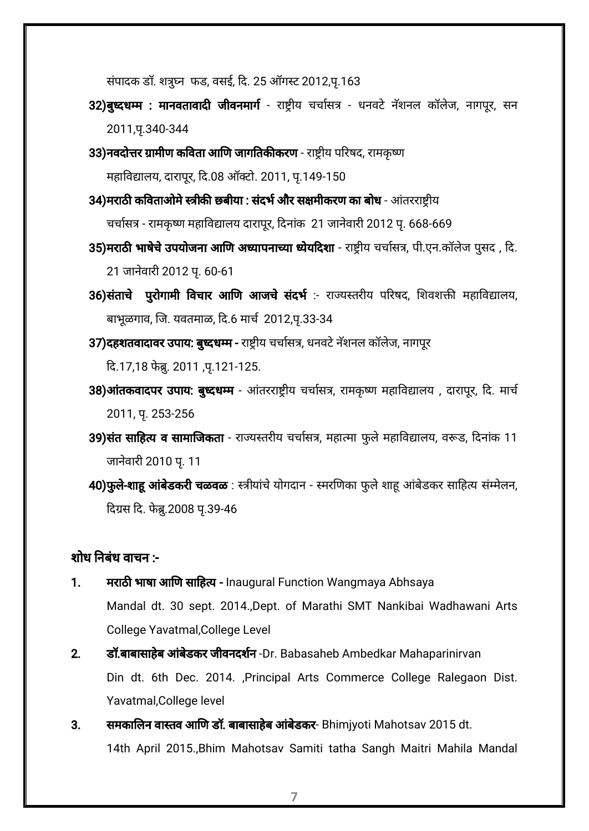संपादक डॉ. शत्र्घ्न फड, वसई, दि. 25 ऑगस्ट 2012,पू.163

- 32)बुध्दधम्म : मानवतावादी जीवनमार्ग राष्ट्रीय चर्चासत्र धनवटे नॅशनल कॉलेज, नागपूर, सन 2011,प.ृ340-344
- 33)नवदोत्तर ग्रामीण कविता आणि जागतिकीकरण राष्ट्रीय परिषद, रामकृष्ण महाविद्यालय, दारापूर, दि.08 ऑक्टो. 2011, पृ.149-150
- 34)मराठी कविताओमे स्त्रीकी छबीया : संदर्भ और सक्षमीकरण का बोध आंतरराष्ट्रीय चर्चासत्र - रामकृष्ण महाविद्यालय दारापूर, दिनांक 21 जानेवारी 2012 पृ. 668-669
- 35)मराठी भाषेचे उपयोजना आणि अध्यापनाच्या ध्येयदिशा राष्ट्रीय चर्चासत्र, पी.एन.कॉलेज पुसद , दि. 21 जानेवारी 2012 पृ. 60-61
- 36)संताचे पुरोगामी विचार आणि आजचे संदर्भ :- राज्यस्तरीय परिषद, शिवशक्ती महाविद्यालय, बाभूळगाव, जि. यवतमाळ, दि.6 मार्च 2012,पृ.33-34
- 37)दहशतवादावर उपाय: बुध्दधम्म राष्ट्रीय चर्चासत्र, धनवटे नॅशनल कॉलेज, नागपूर

दि.17,18 फेब्रु. 2011 ,पृ.121-125.

- 38) आंतकवादपर उपाय: बुध्दधम्म आंतरराष्ट्रीय चर्चासत्र, रामकृष्ण महाविद्यालय, दारापूर, दि. मार्च 2011, प.ृ 253-256
- 39)संत साहित्य व सामाजिकता राज्यस्तरीय चर्चासत्र, महात्मा फुले महाविद्यालय, वरूड, दिनांक 11 जानेवारी 2010 पृ. 11
- 40)फुले-शाहू आंबेडकरी चळवळ : स्त्रीयांचे योगदान स्मरणिका फुले शाहू आंबेडकर साहित्य संम्मेलन, दिग्रस दि. फेब्रु.2008 पृ.39-46

# शोध नबंध वाचन :-

- 1. मराठी भाषा आणि साहित्य Inaugural Function Wangmaya Abhsaya Mandal dt. 30 sept. 2014.,Dept. of Marathi SMT Nankibai Wadhawani Arts College Yavatmal,College Level
- 2. डॉ.बाबासाहेब आंबेडकर जीवनदर्शन -Dr. Babasaheb Ambedkar Mahaparinirvan Din dt. 6th Dec. 2014. ,Principal Arts Commerce College Ralegaon Dist. Yavatmal,College level
- 3. समकालिन वास्तव आणि डॉ. बाबासाहेब आंबेडकर- Bhimiyoti Mahotsav 2015 dt. 14th April 2015.,Bhim Mahotsav Samiti tatha Sangh Maitri Mahila Mandal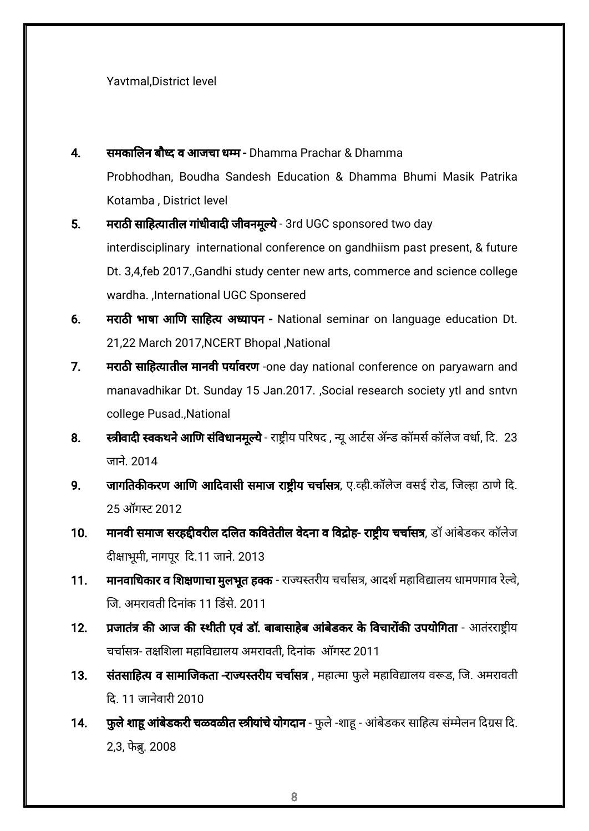Yavtmal,District level

- 4. समकालिन बौध्द व आजचा धम्म Dhamma Prachar & Dhamma Probhodhan, Boudha Sandesh Education & Dhamma Bhumi Masik Patrika Kotamba , District level
- 5. मराठी साहित्यातील गांधीवादी जीवनमूल्ये 3rd UGC sponsored two day interdisciplinary international conference on gandhiism past present, & future Dt. 3,4,feb 2017.,Gandhi study center new arts, commerce and science college wardha. ,International UGC Sponsered
- 6. मराठी भाषा आणि साहित्य अध्यापन National seminar on language education Dt. 21,22 March 2017,NCERT Bhopal ,National
- 7. मराठी साहित्यातील मानवी पर्यावरण -one day national conference on paryawarn and manavadhikar Dt. Sunday 15 Jan.2017. ,Social research society ytl and sntvn college Pusad.,National
- 8. स्त्रीवादी स्वकथने आणि संविधानमूल्ये राष्ट्रीय परिषद , न्यू आर्टस ॲन्ड कॉमर्स कॉलेज वर्धा, दि. 23 जाने. 2014
- 9. जागतिकीकरण आणि आदिवासी समाज राष्टीय चर्चासत्र, ए.व्ही.कॉलेज वसई रोड, जिल्हा ठाणे दि. 25 ऑगट 2012
- 10. मानवी समाज सरहद्दीवरील दलित कवितेतील वेदना व विद्रोह- राष्ट्रीय चर्चासत्र, डॉ आंबेडकर कॉलेज दीक्षाभूमी, नागपूर दि.11 जाने. 2013
- 11. मानवाधिकार व शिक्षणाचा मुलभूत हक्क राज्यस्तरीय चर्चासत्र, आदर्श महाविद्यालय धामणगाव रेल्वे, ज. अमरावती दनाकं 11 डसे. 2011
- 12. प्रजातंत्र की आज की स्थीती एवं डॉ. बाबासाहेब आंबेडकर के विचारोंकी उपयोगिता आतंरराष्ट्रीय चर्चासत्र- तक्षशिला महाविद्यालय अमरावती, दिनांक ऑगस्ट 2011
- 13. संतसाहित्य व सामाजिकता -राज्यस्तरीय चर्चासत्र , महात्मा फुले महाविद्यालय वरूड, जि. अमरावती <u>दि. 11 जानेवारी 2010</u>
- 14. फुले शाहू आंबेडकरी चळवळीत स्त्रीयांचे योगदान फुले -शाहू आंबेडकर साहित्य संम्मेलन दिग्रस दि. 2,3, फेब्रु. 2008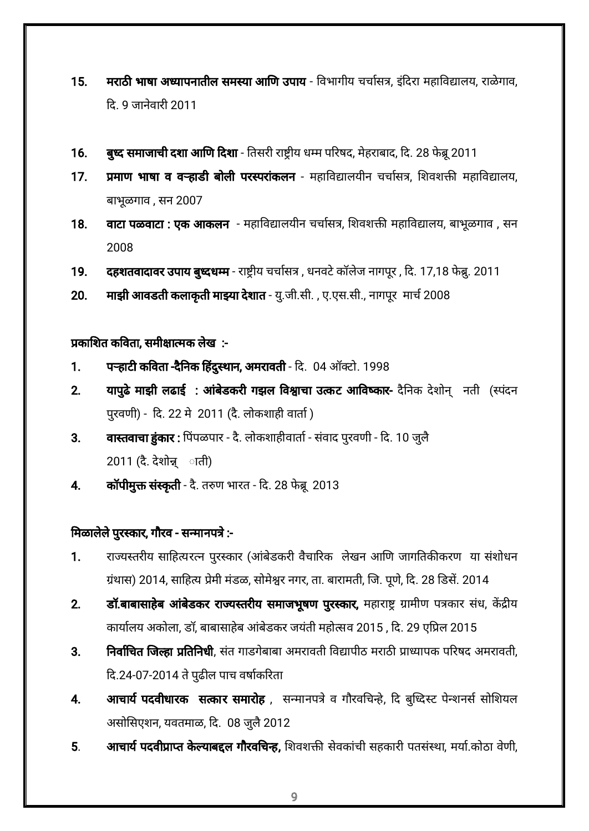- 15. मराठी भाषा अध्यापनातील समस्या आणि उपाय विभागीय चर्चासत्र, इंदिरा महाविद्यालय, राळेगाव, द. 9 जानवे ारी 2011
- 16. बुध्द समाजाची दशा आणि दिशा तिसरी राष्ट्रीय धम्म परिषद, मेहराबाद, दि. 28 फेब्रू 2011
- 17. प्रमाण भाषा व वऱ्हाडी बोली परस्परांकलन महाविद्यालयीन चर्चासत्र, शिवशक्ती महाविद्यालय, बाभूळगाव , सन 2007
- 18. वाटा पळवाटा : एक आकलन महाविद्यालयीन चर्चासत्र, शिवशक्ती महाविद्यालय, बाभूळगाव , सन 2008
- 19. दहशतवादावर उपाय बुध्दधम्म राष्ट्रीय चर्चासत्र, धनवटे कॉलेज नागपूर, दि. 17,18 फेब्रु. 2011
- 20. माझी आवडती कलाकृती माझ्या देशात यु.जी.सी. , ए.एस.सी., नागपूर मार्च 2008

प्रकाशित कविता. समीक्षात्मक लेख $\;$  :-

- 1. पऱ्हाटी कविता -दैनिक हिंदुस्थान, अमरावती दि. 04 ऑक्टो. 1998
- 2. यापुढे माझी लढाई : आंबेडकरी गझल विश्वाचा उत्कट आविष्कार- दैनिक देशोन् जनती (स्पंदन परुवणी) - द. 22 मे 2011 (दै. लोकशाही वाता)
- 3. वास्तवाचा हुंकार : पिंपळपार दै. लोकशाहीवार्ता संवाद पुरवणी दि. 10 जुलै 2011 (दै. देशो् ◌ाती)
- 4. कॉपीमुक्त संस्कृती दै. तरुण भारत दि. 28 फेब्रू 2013

# मिळालेले पुरस्कार, गौरव - सन्मानपत्रे :-

- 1. राज्यस्तरीय साहित्यरत्न पुरस्कार (आंबेडकरी वैचारिक लेखन आणि जागतिकीकरण या संशोधन ग्रंथास) 2014, साहित्य प्रेमी मंडळ, सोमेश्वर नगर, ता. बारामती, जि. पूणे, दि. 28 डिसें. 2014
- 2. डॉ.बाबासाहेब आंबेडकर राज्यस्तरीय समाजभूषण पुरस्कार, महाराष्ट्र ग्रामीण पत्रकार संध, केंद्रीय कार्यालय अकोला, डॉ, बाबासाहेब आंबेडकर जयंती महोत्सव 2015 , दि. 29 एप्रिल 2015
- 3. निर्वाचित जिल्हा प्रतिनिधी, संत गाडगेबाबा अमरावती विद्यापीठ मराठी प्राध्यापक परिषद अमरावती, दि.24-07-2014 ते पुढील पाच वर्षाकरिता
- 4. आचार्य पदवीधारक सत्कार समारोह , सन्मानपत्रे व गौरवचिन्हे, दि बुध्दिस्ट पेन्शनर्स सोशियल असोसिएशन, यवतमाळ, दि. 08 जुलै 2012
- 5. अाचार्य पदवीप्राप्त केल्याबद्दल गौरवचिन्ह, शिवशक्ती सेवकांची सहकारी पतसंस्था, मर्या.कोठा वेणी,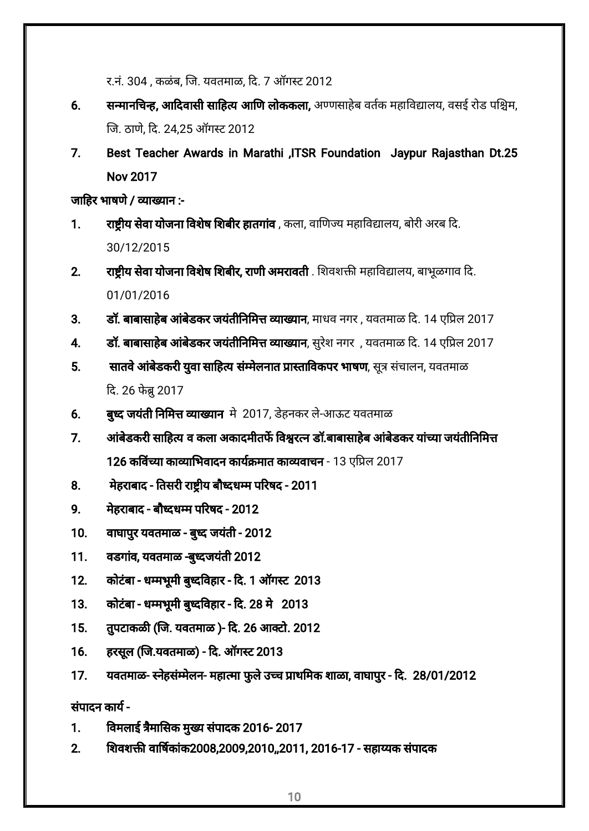र.नं. 304, कळंब, जि. यवतमाळ, दि. 7 ऑगस्ट 2012

- 6. सन्मानचिन्ह, आदिवासी साहित्य आणि लोककला, अण्णसाहेब वर्तक महाविद्यालय, वसई रोड पश्चिम, ज. ठाण,ेद. 24,25 ऑगट 2012
- 7. Best Teacher Awards in Marathi ,ITSR Foundation Jaypur Rajasthan Dt.25 Nov 2017

जाहिर भाषणे / व्याख्यान $:$ 

- 1. राष्टीय सेवा योजना विशेष शिबीर हातगांव , कला, वाणिज्य महाविद्यालय, बोरी अरब दि. 30/12/2015
- 2. राष्ट्रीय सेवा योजना विशेष शिबीर, राणी अमरावती . शिवशक्ती महाविद्यालय, बाभूळगाव दि. 01/01/2016
- 3. डॉ. बाबासाहेब आंबेडकर जयंतीनिमित्त व्याख्यान, माधव नगर , यवतमाळ दि. 14 एप्रिल 2017
- 4. डॉ. बाबासाहेब आंबेडकर जयंतीनिमित्त व्याख्यान, सुरेश नगर , यवतमाळ दि. 14 एप्रिल 2017
- 5. सातवे आंबेडकरी युवा साहित्य संम्मेलनात प्रास्ताविकपर भाषण, सूत्र संचालन, यवतमाळ दि. 26 फेब्र 2017
- 6. बुध्द जयंती निमित्त व्याख्यान मे 2017, डेहनकर ले-आऊट यवतमाळ
- 7. अांबेडकरी साहित्य व कला अकादमीतर्फे विश्वरत्न डॉ.बाबासाहेब आंबेडकर यांच्या जयंतीनिमित्त 126 कविंच्या काव्याभिवादन कार्यक्रमात काव्यवाचन - 13 एप्रिल 2017
- 8. मेहराबाद तिसरी राष्ट्रीय बौध्दधम्म परिषद 2011
- 9. मेहराबाद बौदधम परषद 2012
- 10. वाघापुर यवतमाळ बुध्द जयंती 2012
- 11. वडगांव, यवतमाळ -बुध्दजयंती 2012
- 12. कोटंबा धमभूमी बुदवहार द. 1 ऑगट 2013
- 13. कोटंबा धमभूमी बुदवहार द. 28 मे 2013
- 15. तुपटाकळी (जि. यवतमाळ )- दि. 26 आक्टो. 2012
- 16. हरसूल (ज.यवतमाळ) द. ऑगट 2013
- 17. यवतमाळ- स्नेहसंम्मेलन- महात्मा फुले उच्च प्राथमिक शाळा, वाघापुर दि. 28/01/2012

संपादन काय-

- 1. विमलाई त्रैमासिक मुख्य संपादक 2016- 2017
- 2. शवश वाषकांक2008,2009,2010,,2011, 2016-17 सहायक संपादक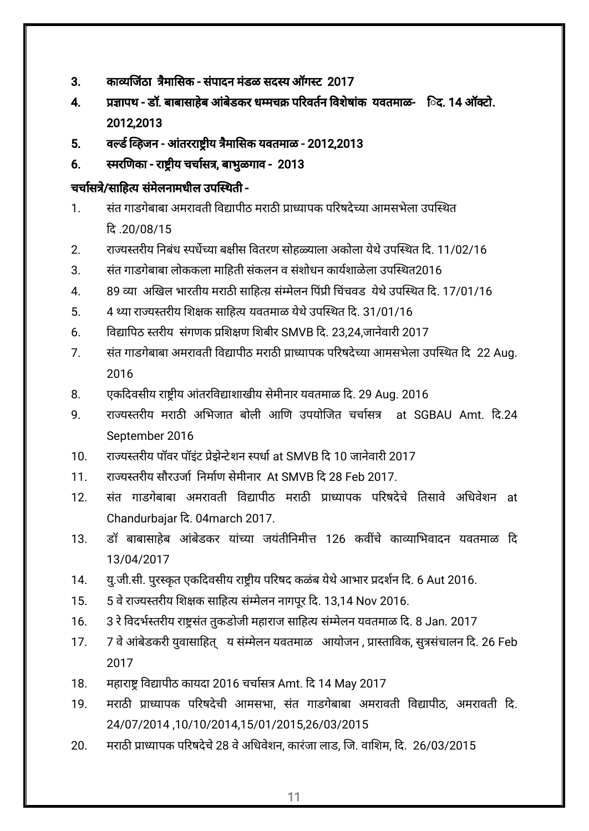- 3. काव्यजिंठा त्रैमासिक संपादन मंडळ सदस्य ऑगस्ट 2017
- 4. प्रजापथ डॉ. बाबासाहेब आंबेडकर धम्मचक्र परिवर्तन विशेषांक यवतमाळ- िद. 14 ऑक्टो. 2012,2013
- 5. वर्ल्ड व्हिजन आंतरराष्ट्रीय त्रैमासिक यवतमाळ 2012,2013
- 6. स्मरणिका राष्ट्रीय चर्चासत्र, बाभुळगाव 2013

## चर्चासत्रे/साहित्य संमेलनामधील उपस्थिती -

- 1. संत गाडगेबाबा अमरावती विद्यापीठ मराठी प्राध्यापक परिषदेच्या आमसभेला उपस्थित द .20/08/15
- 2. राज्यस्तरीय निबंध स्पर्धेच्या बक्षीस वितरण सोहळ्याला अकोला येथे उपस्थित दि. 11/02/16
- 3. संत गाडगेबाबा लोककला माहिती संकलन व संशोधन कार्यशाळेला उपस्थित2016
- 4. 89 व्या अखिल भारतीय मराठी साहित्य़ संम्मेलन पिंप्री चिंचवड येथे उपस्थित दि. 17/01/16
- 5. 4 थ्या राज्यस्तरीय शिक्षक साहित्य यवतमाळ येथे उपस्थित दि. 31/01/16
- 6. विद्यापिठ स्तरीय संगणक प्रशिक्षण शिबीर SMVB दि. 23.24,जानेवारी 2017
- 7. संत गाडगेबाबा अमरावती विद्यापीठ मराठी प्राध्यापक परिषदेच्या आमसभेला उपस्थित दि 22 Aug. 2016
- 8. एकदिवसीय राष्ट्रीय आंतरविद्याशाखीय सेमीनार यवतमाळ दि. 29 Aug. 2016
- 9. राज्यस्तरीय मराठी अभिजात बोली आणि उपयोजित चर्चासत्र at SGBAU Amt. दि.24 September 2016
- 10. राज्यस्तरीय पॉवर पॉइंट प्रेझेन्टेशन स्पर्धा at SMVB दि 10 जानेवारी 2017
- 11. रायतरीय सौरउजा नमाण सेमीनार At SMVB द 28 Feb 2017.
- 12. संत गाडगेबाबा अमरावती विद्यापीठ मराठी प्राध्यापक परिषदेचे तिसावे अधिवेशन at Chandurbajar द. 04march 2017.
- 13. डॉ बाबासाहेब आंबेडकर यांच्या जयंतीनिमीत्त 126 कवींचे काव्याभिवादन यवतमाळ दि 13/04/2017
- 14. यु.जी.सी. पुरस्कृत एकदिवसीय राष्ट्रीय परिषद कळंब येथे आभार प्रदर्शन दि. 6 Aut 2016.
- 15. 5 वे राज्यस्तरीय शिक्षक साहित्य संम्मेलन नागपूर दि. 13,14 Nov 2016.
- 16. 3 रे विदर्भस्तरीय राष्ट्रसंत तुकडोजी महाराज साहित्य संम्मेलन यवतमाळ दि. 8 Jan. 2017
- 17. 7 वे आंबेडकरी युवासाहित् य संम्मेलन यवतमाळ आयोजन , प्रास्ताविक, सुत्रसंचालन दि. 26 Feb 2017
- 18. महाराष्ट्र विद्यापीठ कायदा 2016 चर्चासत्र Amt. दि 14 May 2017
- 19. मराठी प्राध्यापक परिषदेची आमसभा, संत गाडगेबाबा अमरावती विद्यापीठ, अमरावती दि. 24/07/2014 ,10/10/2014,15/01/2015,26/03/2015
- 20. मराठी प्राध्यापक परिषदेचे 28 वे अधिवेशन, कारंजा लाड, जि. वाशिम, दि. 26/03/2015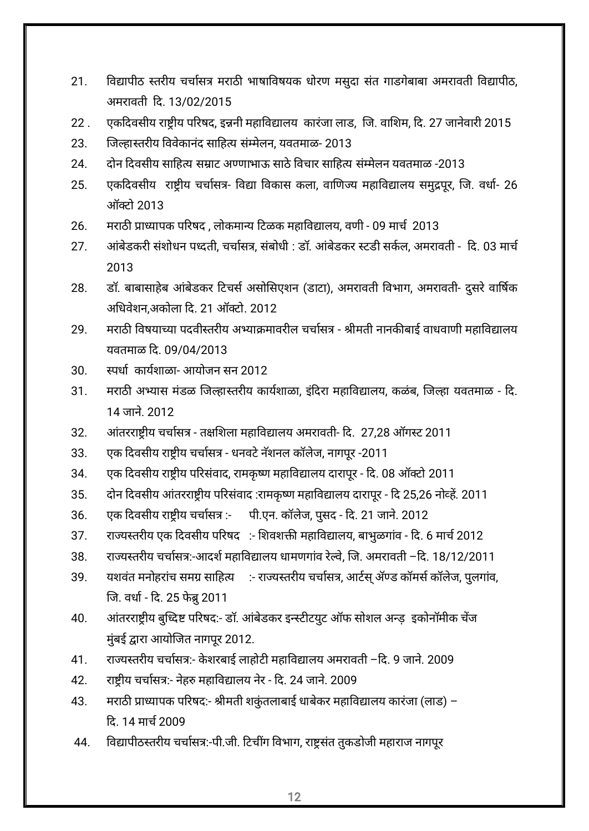- 21. विद्यापीठ स्तरीय चर्चासत्र मराठी भाषाविषयक धोरण मसुदा संत गाडगेबाबा अमरावती विद्यापीठ, अमरावती द. 13/02/2015
- 22 . एकदिवसीय राष्टीय परिषद, इन्ननी महाविद्यालय कारंजा लाड, जि. वाशिम, दि. 27 जानेवारी 2015
- 23. जिल्हास्तरीय विवेकानंद साहित्य संम्मेलन, यवतमाळ- 2013
- 24. दोन दवसीय साहय साट अणाभाऊ साठेवचार साहय संमेलन यवतमाळ -2013
- 25. एकदिवसीय राष्ट्रीय चर्चासत्र- विद्या विकास कला, वाणिज्य महाविद्यालय समुद्रपूर, जि. वर्धा- 26 ऑटो 2013
- 26. मराठी प्राध्यापक परिषद , लोकमान्य टिळक महाविद्यालय, वणी 09 मार्च 2013
- 27. अांबेडकरी संशोधन पध्दती, चर्चासत्र, संबोधी : डॉ. आंबेडकर स्टडी सर्कल, अमरावती दि. 03 मार्च 2013
- 28. डॉ. बाबासाहेब आंबेडकर टिचर्स असोसिएशन (डाटा), अमरावती विभाग, अमरावती- दुसरे वार्षिक अधिवेशन,अकोला दि. 21 ऑक्टो. 2012
- 29. मराठी विषयाच्या पदवीस्तरीय अभ्याक्रमावरील चर्चासत्र श्रीमती नानकीबाई वाधवाणी महाविद्यालय यवतमाळ द. 09/04/2013
- 30. स्पर्धा कार्यशाळा- आयोजन सन 2012
- 31. मराठी अभ्यास मंडळ जिल्हास्तरीय कार्यशाळा, इंदिरा महाविद्यालय, कळंब, जिल्हा यवतमाळ दि. 14 जान.े 2012
- 32. आंतरराष्ट्रीय चर्चासत्र तक्षशिला महाविद्यालय अमरावती- दि. 27,28 ऑगस्ट 2011
- 33. पक दिवसीय राष्ट्रीय चर्चासत्र धनवटे नॅशनल कॉलेज, नागपूर -2011
- 34. एक दिवसीय राष्ट्रीय परिसंवाद, रामकृष्ण महाविद्यालय दारापूर दि. 08 ऑक्टो 2011
- 35. दोन दिवसीय आंतरराष्ट्रीय परिसंवाद :रामकृष्ण महाविद्यालय दारापूर दि 25,26 नोव्हें. 2011
- 36. एक दिवसीय राष्ट्रीय चर्चासत्र :- पी.एन. कॉलेज, पुसद दि. 21 जाने. 2012
- 37. राज्यस्तरीय एक दिवसीय परिषद :- शिवशक्ती महाविद्यालय, बाभुळगांव दि. 6 मार्च 2012
- 38. राज्यस्तरीय चर्चासत्र:-आदर्श महाविद्यालय धामणगांव रेल्वे, जि. अमरावती –दि. 18/12/2011
- 39. यशवंत मनोहरांच समग्र साहित्य ः- राज्यस्तरीय चर्चासत्र, आर्टस् ॲण्ड कॉमर्स कॉलेज, पुलगांव, जि. वर्धा - दि. 25 फेब्रु 2011
- 40. आंतरराष्ट्रीय बुध्दिष्ट परिषद:- डॉ. आंबेडकर इन्स्टीटयुट ऑफ सोशल अन्ड़ इकोनॉमीक चेंज मुंबई द्वारा आयोजित नागपूर 2012.
- 41. राज्यस्तरीय चर्चासत्र:- केशरबाई लाहोटी महाविद्यालय अमरावती –दि. 9 जाने. 2009
- 42. राष्ट्रीय चर्चासत्र:- नेहरु महाविद्यालय नेर दि. 24 जाने. 2009
- 43. मराठी प्राध्यापक परिषद:- श्रीमती शकुंतलाबाई धाबेकर महाविद्यालय कारंजा (लाड) द. 14 माच2009
- 44. विद्यापीठस्तरीय चर्चासत्र:-पी.जी. टिचींग विभाग, राष्ट्रसंत तुकडोजी महाराज नागपूर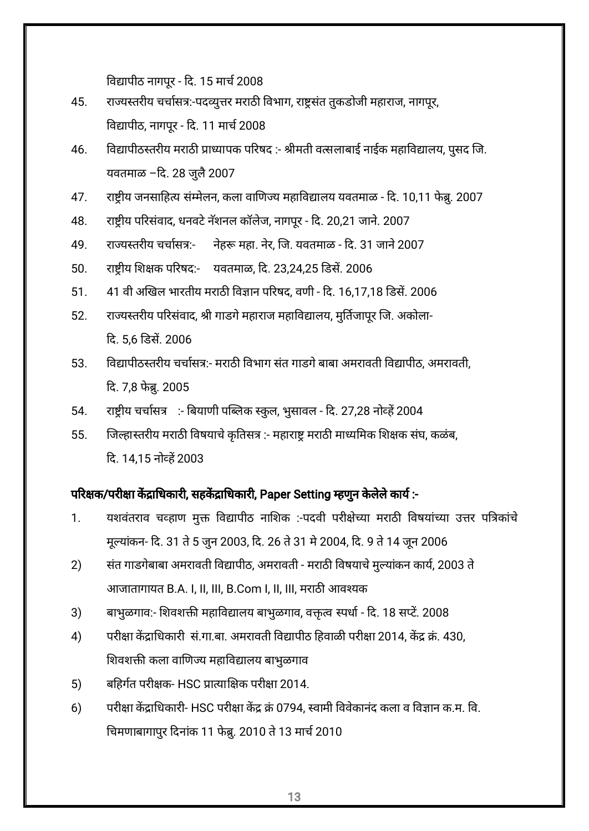विद्यापीठ नागपूर - दि. 15 मार्च 2008

- 45. राज्यस्तरीय चर्चासत्र:-पदव्युत्तर मराठी विभाग, राष्ट्रसंत तुकडोजी महाराज, नागपूर, विद्यापीठ, नागपूर - दि. 11 मार्च 2008
- 46. विद्यापीठस्तरीय मराठी प्राध्यापक परिषद :- श्रीमती वत्सलाबाई नाईक महाविद्यालय, पुसद जि. यवतमाळ -दि. 28 जुलै 2007
- 47. राष्ट्रीय जनसाहित्य संम्मेलन, कला वाणिज्य महाविद्यालय यवतमाळ दि. 10,11 फेब्रू. 2007
- 48. राष्ट्रीय परिसंवाद, धनवटे नॅशनल कॉलेज, नागपूर दि. 20,21 जाने. 2007
- 49. राज्यस्तरीय चर्चासत्र:- नेहरू महा. नेर, जि. यवतमाळ दि. 31 जाने 2007
- 50. राष्ट्रीय शिक्षक परिषद:- यवतमाळ, दि. 23,24,25 डिसें. 2006
- 51. 41 वी अखिल भारतीय मराठी विज्ञान परिषद, वणी दि. 16,17,18 डिसें. 2006
- 52. राज्यस्तरीय परिसंवाद, श्री गाडगे महाराज महाविद्यालय, मुर्तिजापुर जि. अकोला-द. 5,6 डस. 2006
- 53. विद्यापीठस्तरीय चर्चासत्र:- मराठी विभाग संत गाडगे बाबा अमरावती विद्यापीठ, अमरावती, दि. 7,8 फेब्रु. 2005
- 54. राष्ट्रीय चर्चासत्र :- बियाणी पब्लिक स्कुल, भुसावल दि. 27,28 नोव्हें 2004
- 55. जिल्हास्तरीय मराठी विषयाचे कृतिसत्र :- महाराष्ट्र मराठी माध्यमिक शिक्षक संघ, कळंब, द. 14,15 नोह2003

### परिक्षक/परीक्षा केंद्राधिकारी, सहकेंद्राधिकारी, Paper Setting म्हणुन केलेले कार्य:-

- 1. यशवंतराव चव्हाण मुक्त विद्यापीठ नाशिक :-पदवी परीक्षेच्या मराठी विषयांच्या उत्तर पत्रिकांचे मूल्यांकन- दि. 31 ते 5 जुन 2003, दि. 26 ते 31 मे 2004, दि. 9 ते 14 जून 2006
- 2) संत गाडगेबाबा अमरावती विद्यापीठ, अमरावती मराठी विषयाचे मुल्यांकन कार्य, 2003 ते आजातागायत B.A. I, II, III, B.Com I, II, III, मराठी आवश्यक
- 3) बाभुळगाव:- शिवशक्ती महाविद्यालय बाभुळगाव, वक्तत्व स्पर्धा दि. 18 सप्टें. 2008
- 4) परीक्षा केंद्राधिकारी सं.गा.बा. अमरावती विद्यापीठ हिवाळी परीक्षा 2014, केंद्र क्रं. 430, शिवशक्ती कला वाणिज्य महाविद्यालय बाभुळगाव
- 5) बहिर्गत परीक्षक- HSC प्रात्याक्षिक परीक्षा 2014.
- 6) परीक्षा केंद्राधिकारी- HSC परीक्षा केंद्र क्रं 0794, स्वामी विवेकानंद कला व विज्ञान क.म. वि. चिमणाबागापुर दिनांक 11 फेब्रु. 2010 ते 13 मार्च 2010